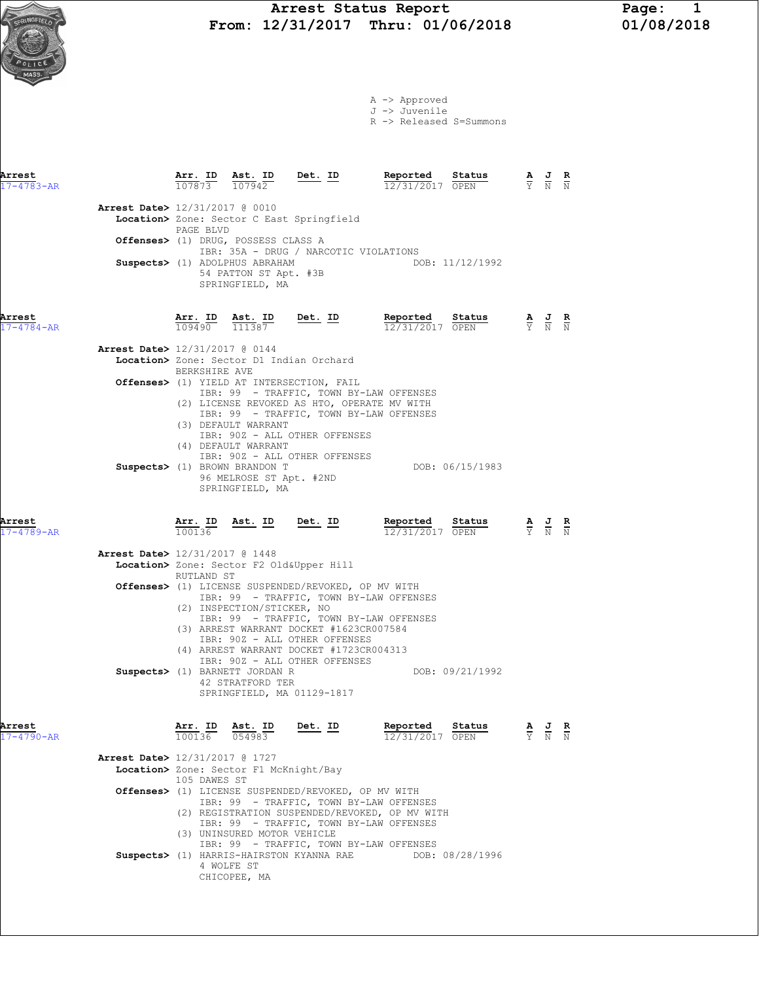

A -> Approved J -> Juvenile

R -> Released S=Summons

| Arrest<br>$17 - 4783 - AR$ |                                          | Arr. ID<br>$\frac{11111}{107873}$ $\frac{11111}{107942}$  |                                                                                                                           | $\frac{\texttt{Ast.}}{107942}$ Det. ID                                                                                                               | Reported<br>Status<br>12/31/2017 OPEN                                                                 |                               | $\frac{\mathbf{A}}{\mathbf{Y}}$ $\frac{\mathbf{J}}{\mathbf{N}}$ $\frac{\mathbf{R}}{\mathbf{N}}$ |               |
|----------------------------|------------------------------------------|-----------------------------------------------------------|---------------------------------------------------------------------------------------------------------------------------|------------------------------------------------------------------------------------------------------------------------------------------------------|-------------------------------------------------------------------------------------------------------|-------------------------------|-------------------------------------------------------------------------------------------------|---------------|
|                            | <b>Arrest Date&gt;</b> 12/31/2017 @ 0010 | PAGE BLVD                                                 | Offenses> (1) DRUG, POSSESS CLASS A<br>Suspects> (1) ADOLPHUS ABRAHAM                                                     | Location> Zone: Sector C East Springfield<br>IBR: 35A - DRUG / NARCOTIC VIOLATIONS                                                                   | DOB: 11/12/1992                                                                                       |                               |                                                                                                 |               |
| Arrest                     |                                          |                                                           | 54 PATTON ST Apt. #3B<br>SPRINGFIELD, MA<br>Ast. ID                                                                       | <u>Det. ID</u>                                                                                                                                       |                                                                                                       |                               |                                                                                                 |               |
| $17 - 4784 - AR$           |                                          | $\frac{\text{Arr.}}{109490}$ $\frac{\text{Ast.}}{111387}$ |                                                                                                                           |                                                                                                                                                      | <b>Reported Status</b> $\frac{A}{12/31/2017}$ <b>OPEN</b> $\frac{A}{Y}$ <b>A J R</b>                  |                               |                                                                                                 |               |
|                            | Arrest Date> 12/31/2017 @ 0144           |                                                           |                                                                                                                           | Location> Zone: Sector D1 Indian Orchard                                                                                                             |                                                                                                       |                               |                                                                                                 |               |
|                            |                                          | BERKSHIRE AVE                                             |                                                                                                                           | Offenses> (1) YIELD AT INTERSECTION, FAIL                                                                                                            | IBR: 99 - TRAFFIC, TOWN BY-LAW OFFENSES<br>(2) LICENSE REVOKED AS HTO, OPERATE MV WITH                |                               |                                                                                                 |               |
|                            |                                          |                                                           | (3) DEFAULT WARRANT<br>(4) DEFAULT WARRANT<br>Suspects> (1) BROWN BRANDON T<br>96 MELROSE ST Apt. #2ND<br>SPRINGFIELD, MA | IBR: 90Z - ALL OTHER OFFENSES<br>IBR: 90Z - ALL OTHER OFFENSES                                                                                       | IBR: 99 - TRAFFIC, TOWN BY-LAW OFFENSES<br>DOB: 06/15/1983                                            |                               |                                                                                                 |               |
| Arrest<br>$17 - 4789 - AR$ |                                          | <u>Arr. ID</u><br>100136                                  |                                                                                                                           | Ast. ID Det. ID                                                                                                                                      | Reported<br>Status<br>12/31/2017 OPEN                                                                 |                               | $\frac{\mathbf{A}}{\mathbf{Y}}$ $\frac{\mathbf{J}}{\mathbf{N}}$ $\frac{\mathbf{R}}{\mathbf{N}}$ |               |
|                            | <b>Arrest Date&gt;</b> 12/31/2017 @ 1448 |                                                           |                                                                                                                           |                                                                                                                                                      |                                                                                                       |                               |                                                                                                 |               |
|                            |                                          | RUTLAND ST                                                |                                                                                                                           | Location> Zone: Sector F2 Old&Upper Hill                                                                                                             |                                                                                                       |                               |                                                                                                 |               |
|                            |                                          |                                                           | (2) INSPECTION/STICKER, NO                                                                                                | Offenses> (1) LICENSE SUSPENDED/REVOKED, OP MV WITH                                                                                                  | IBR: 99 - TRAFFIC, TOWN BY-LAW OFFENSES<br>IBR: 99 - TRAFFIC, TOWN BY-LAW OFFENSES                    |                               |                                                                                                 |               |
|                            |                                          |                                                           | Suspects> (1) BARNETT JORDAN R                                                                                            | (3) ARREST WARRANT DOCKET #1623CR007584<br>IBR: 90Z - ALL OTHER OFFENSES<br>(4) ARREST WARRANT DOCKET #1723CR004313<br>IBR: 90Z - ALL OTHER OFFENSES | DOB: 09/21/1992                                                                                       |                               |                                                                                                 |               |
| Arrest                     |                                          | Arr. ID                                                   | 42 STRATFORD TER<br>Ast. ID                                                                                               | SPRINGFIELD, MA 01129-1817                                                                                                                           | Reported Status                                                                                       |                               |                                                                                                 |               |
| $17 - 4790 - AR$           |                                          | 100136 054983                                             |                                                                                                                           | Det. ID                                                                                                                                              | 12/31/2017 OPEN                                                                                       | $\overline{Y}$ $\overline{N}$ |                                                                                                 | $\frac{R}{N}$ |
|                            | <b>Arrest Date&gt;</b> 12/31/2017 @ 1727 |                                                           |                                                                                                                           |                                                                                                                                                      |                                                                                                       |                               |                                                                                                 |               |
|                            |                                          | 105 DAWES ST                                              | Location> Zone: Sector F1 McKnight/Bay                                                                                    |                                                                                                                                                      |                                                                                                       |                               |                                                                                                 |               |
|                            |                                          |                                                           |                                                                                                                           | Offenses> (1) LICENSE SUSPENDED/REVOKED, OP MV WITH                                                                                                  | IBR: 99 - TRAFFIC, TOWN BY-LAW OFFENSES<br>(2) REGISTRATION SUSPENDED/REVOKED, OP MV WITH             |                               |                                                                                                 |               |
|                            |                                          |                                                           | (3) UNINSURED MOTOR VEHICLE<br>4 WOLFE ST<br>CHICOPEE, MA                                                                 | Suspects> (1) HARRIS-HAIRSTON KYANNA RAE                                                                                                             | IBR: 99 - TRAFFIC, TOWN BY-LAW OFFENSES<br>IBR: 99 - TRAFFIC, TOWN BY-LAW OFFENSES<br>DOB: 08/28/1996 |                               |                                                                                                 |               |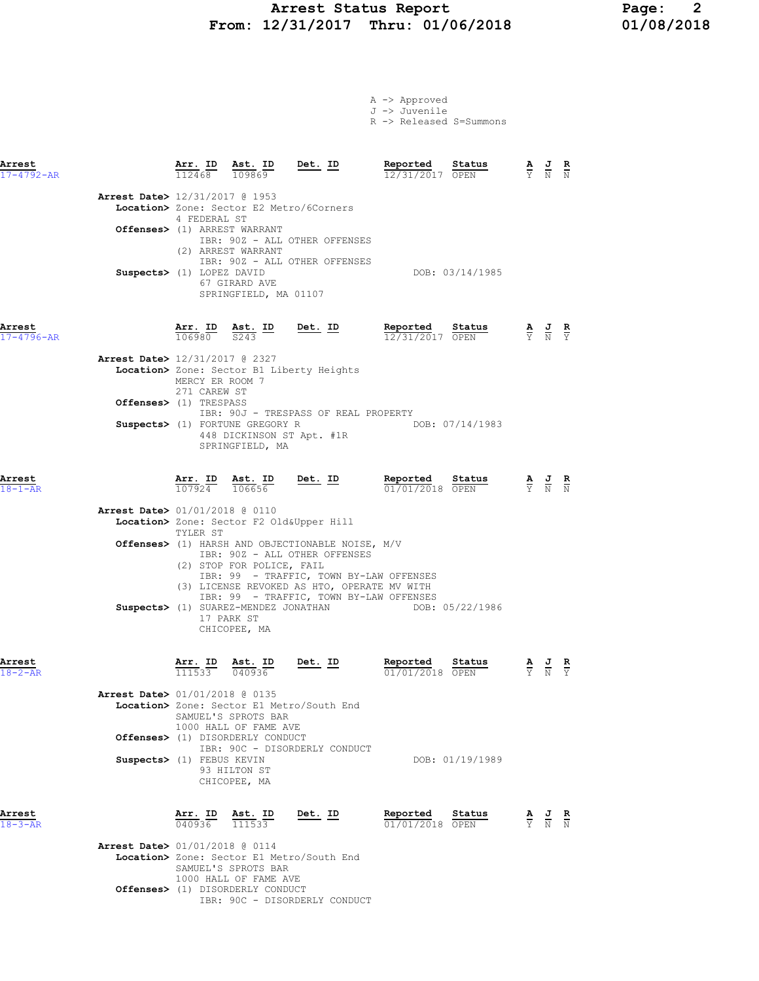### Arrest Status Report 12<br>12/31/2017 Thru: 01/06/2018 12/08/2018 From: 12/31/2017 Thru: 01/06/2018

A -> Approved

|                                                           |                                                            |                                                                                                                             |                                                                                                                                                                                                                                                                    | J -> Juvenile<br>R -> Released S=Summons                                                                                                                                   |                                                                                                 |  |
|-----------------------------------------------------------|------------------------------------------------------------|-----------------------------------------------------------------------------------------------------------------------------|--------------------------------------------------------------------------------------------------------------------------------------------------------------------------------------------------------------------------------------------------------------------|----------------------------------------------------------------------------------------------------------------------------------------------------------------------------|-------------------------------------------------------------------------------------------------|--|
| Arrest<br>17-4792-AR                                      |                                                            | $\frac{\texttt{Arr.}}{112468}$ $\frac{\texttt{Ab.}}{109869}$                                                                | <u>Det.</u> ID                                                                                                                                                                                                                                                     | Reported<br>Status<br>12/31/2017 OPEN                                                                                                                                      | $\frac{\mathbf{A}}{\mathbf{Y}}$ $\frac{\mathbf{J}}{\mathbf{N}}$ $\frac{\mathbf{R}}{\mathbf{N}}$ |  |
| <b>Arrest Date&gt;</b> 12/31/2017 @ 1953                  | 4 FEDERAL ST                                               |                                                                                                                             | Location> Zone: Sector E2 Metro/6Corners                                                                                                                                                                                                                           |                                                                                                                                                                            |                                                                                                 |  |
|                                                           |                                                            | Offenses> (1) ARREST WARRANT<br>(2) ARREST WARRANT                                                                          | IBR: 90Z - ALL OTHER OFFENSES                                                                                                                                                                                                                                      |                                                                                                                                                                            |                                                                                                 |  |
|                                                           | Suspects> (1) LOPEZ DAVID                                  | 67 GIRARD AVE<br>SPRINGFIELD, MA 01107                                                                                      | IBR: 90Z - ALL OTHER OFFENSES                                                                                                                                                                                                                                      | DOB: 03/14/1985                                                                                                                                                            |                                                                                                 |  |
| Arrest<br>$17 - 4796 - AR$                                |                                                            | $\frac{\text{Arr. ID}}{106980}$ $\frac{\text{Ast. ID}}{S243}$                                                               | $Det. ID$                                                                                                                                                                                                                                                          | Reported Status<br>12/31/2017 OPEN                                                                                                                                         | $\frac{\mathbf{A}}{\mathbf{Y}}$ $\frac{\mathbf{J}}{\mathbf{N}}$ $\frac{\mathbf{R}}{\mathbf{Y}}$ |  |
| Arrest Date> 12/31/2017 @ 2327                            | MERCY ER ROOM 7<br>271 CAREW ST                            |                                                                                                                             | Location> Zone: Sector B1 Liberty Heights                                                                                                                                                                                                                          |                                                                                                                                                                            |                                                                                                 |  |
|                                                           | Offenses> (1) TRESPASS                                     | Suspects> (1) FORTUNE GREGORY R<br>SPRINGFIELD, MA                                                                          | IBR: 90J - TRESPASS OF REAL PROPERTY<br>448 DICKINSON ST Apt. #1R                                                                                                                                                                                                  | DOB: 07/14/1983                                                                                                                                                            |                                                                                                 |  |
| Arrest<br>$18 - 1 - AR$                                   | Ar <u>r.</u> ID<br>$\overline{107924}$ $\overline{106656}$ | Ast. ID                                                                                                                     | $Det. ID$                                                                                                                                                                                                                                                          | Reported<br>Status<br>$\frac{2 \text{ values}}{01/01/2018}$                                                                                                                | $\frac{\mathbf{A}}{\mathbf{Y}}$ $\frac{\mathbf{J}}{\mathbf{N}}$ $\frac{\mathbf{R}}{\mathbf{N}}$ |  |
| Arrest Date> 01/01/2018 @ 0110                            | TYLER ST                                                   | (2) STOP FOR POLICE, FAIL                                                                                                   | Location> Zone: Sector F2 Old&Upper Hill<br>Offenses> (1) HARSH AND OBJECTIONABLE NOISE, M/V<br>IBR: 90Z - ALL OTHER OFFENSES<br>IBR: 99 - TRAFFIC, TOWN BY-LAW OFFENSES<br>(3) LICENSE REVOKED AS HTO, OPERATE MV WITH<br>IBR: 99 - TRAFFIC, TOWN BY-LAW OFFENSES |                                                                                                                                                                            |                                                                                                 |  |
|                                                           |                                                            | 17 PARK ST<br>CHICOPEE, MA                                                                                                  | Suspects> (1) SUAREZ-MENDEZ JONATHAN                                                                                                                                                                                                                               | DOB: 05/22/1986                                                                                                                                                            |                                                                                                 |  |
| Arrest<br>$18 - 2 - AR$<br>Arrest Date> 01/01/2018 @ 0135 |                                                            | $\overline{111533}$ $\overline{040936}$<br>SAMUEL'S SPROTS BAR<br>1000 HALL OF FAME AVE<br>Offenses> (1) DISORDERLY CONDUCT | Location> Zone: Sector E1 Metro/South End                                                                                                                                                                                                                          | <b>Arr.</b> ID Ast. ID Det. ID Reported Status A J R<br>111533 040936 <b>Det. ID</b> Reported Status A J R<br>$\overline{01/01/2018}$ OPEN $\overline{Y}$ N $\overline{Y}$ |                                                                                                 |  |
|                                                           | Suspects> (1) FEBUS KEVIN                                  | 93 HILTON ST<br>CHICOPEE, MA                                                                                                | IBR: 90C - DISORDERLY CONDUCT                                                                                                                                                                                                                                      | DOB: 01/19/1989                                                                                                                                                            |                                                                                                 |  |
| Arrest<br>$18 - 3 - AR$                                   |                                                            | <b>Arr. ID Ast. ID</b> $\frac{1}{111533}$                                                                                   | Det. ID                                                                                                                                                                                                                                                            | Reported<br>Status<br>01/01/2018 OPEN                                                                                                                                      | $\frac{\mathbf{A}}{\mathbf{Y}}$ $\frac{\mathbf{J}}{\mathbf{N}}$ $\frac{\mathbf{R}}{\mathbf{N}}$ |  |
| Arrest Date> 01/01/2018 @ 0114                            |                                                            | SAMUEL'S SPROTS BAR<br>1000 HALL OF FAME AVE                                                                                | Location> Zone: Sector E1 Metro/South End                                                                                                                                                                                                                          |                                                                                                                                                                            |                                                                                                 |  |

IBR: 90C - DISORDERLY CONDUCT

Offenses> (1) DISORDERLY CONDUCT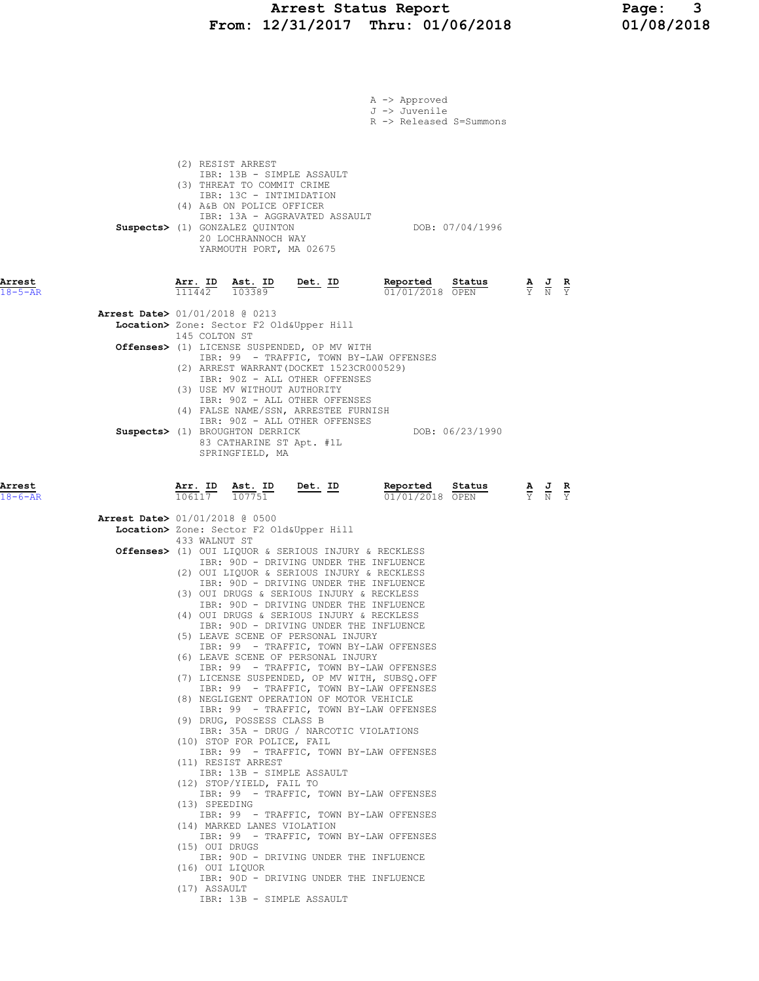#### Arrest Status Report Page: 3 From: 12/31/2017 Thru: 01/06/2018 01/08/2018

|                         |                |                                                                                                                                                                                            |                                                                                                                                                                                     | A -> Approved                                                                                                                      |                         |                                                                                                       |  |
|-------------------------|----------------|--------------------------------------------------------------------------------------------------------------------------------------------------------------------------------------------|-------------------------------------------------------------------------------------------------------------------------------------------------------------------------------------|------------------------------------------------------------------------------------------------------------------------------------|-------------------------|-------------------------------------------------------------------------------------------------------|--|
|                         |                |                                                                                                                                                                                            |                                                                                                                                                                                     | J -> Juvenile                                                                                                                      | R -> Released S=Summons |                                                                                                       |  |
|                         |                | (2) RESIST ARREST<br>(3) THREAT TO COMMIT CRIME<br>IBR: 13C - INTIMIDATION<br>(4) A&B ON POLICE OFFICER<br>Suspects> (1) GONZALEZ QUINTON<br>20 LOCHRANNOCH WAY<br>YARMOUTH PORT, MA 02675 | IBR: 13B - SIMPLE ASSAULT<br>IBR: 13A - AGGRAVATED ASSAULT                                                                                                                          |                                                                                                                                    | DOB: 07/04/1996         |                                                                                                       |  |
| Arrest<br>$18 - 5 - AR$ |                | Arr. ID Ast. ID<br>111442 103389                                                                                                                                                           | <u>Det. ID</u>                                                                                                                                                                      | Reported<br>$01/01/2018$ OPEN                                                                                                      | Status                  | $\frac{\mathbf{A}}{\mathbf{Y}}$ $\frac{\mathbf{J}}{\mathbf{N}}$ $\frac{\mathbf{R}}{\mathbf{Y}}$       |  |
|                         | 145 COLTON ST  | <b>Arrest Date&gt;</b> 01/01/2018 @ 0213                                                                                                                                                   | Location> Zone: Sector F2 Old&Upper Hill<br>Offenses> (1) LICENSE SUSPENDED, OP MV WITH                                                                                             | IBR: 99 - TRAFFIC, TOWN BY-LAW OFFENSES                                                                                            |                         |                                                                                                       |  |
|                         |                | (3) USE MV WITHOUT AUTHORITY<br>Suspects> (1) BROUGHTON DERRICK<br>83 CATHARINE ST Apt. #1L<br>SPRINGFIELD, MA                                                                             | (2) ARREST WARRANT (DOCKET 1523CR000529)<br>IBR: 90Z - ALL OTHER OFFENSES<br>IBR: 90Z - ALL OTHER OFFENSES<br>(4) FALSE NAME/SSN, ARRESTEE FURNISH<br>IBR: 90Z - ALL OTHER OFFENSES |                                                                                                                                    | DOB: 06/23/1990         |                                                                                                       |  |
| Arrest<br>$18 - 6 - AR$ | 106117         | Arr. ID Ast. ID<br>107751                                                                                                                                                                  | Det. ID                                                                                                                                                                             | Reported<br>01/01/2018 OPEN                                                                                                        | Status                  | $\frac{\mathbf{A}}{\overline{Y}}$ $\frac{\mathbf{J}}{\overline{N}}$ $\frac{\mathbf{R}}{\overline{Y}}$ |  |
|                         |                | <b>Arrest Date&gt;</b> 01/01/2018 @ 0500                                                                                                                                                   | Location> Zone: Sector F2 Old&Upper Hill                                                                                                                                            |                                                                                                                                    |                         |                                                                                                       |  |
|                         | 433 WALNUT ST  |                                                                                                                                                                                            |                                                                                                                                                                                     | Offenses> (1) OUI LIQUOR & SERIOUS INJURY & RECKLESS<br>IBR: 90D - DRIVING UNDER THE INFLUENCE                                     |                         |                                                                                                       |  |
|                         |                |                                                                                                                                                                                            | (3) OUI DRUGS & SERIOUS INJURY & RECKLESS                                                                                                                                           | (2) OUI LIQUOR & SERIOUS INJURY & RECKLESS<br>IBR: 90D - DRIVING UNDER THE INFLUENCE<br>IBR: 90D - DRIVING UNDER THE INFLUENCE     |                         |                                                                                                       |  |
|                         |                |                                                                                                                                                                                            | (4) OUI DRUGS & SERIOUS INJURY & RECKLESS                                                                                                                                           | IBR: 90D - DRIVING UNDER THE INFLUENCE                                                                                             |                         |                                                                                                       |  |
|                         |                |                                                                                                                                                                                            | (5) LEAVE SCENE OF PERSONAL INJURY<br>(6) LEAVE SCENE OF PERSONAL INJURY                                                                                                            | IBR: 99 - TRAFFIC, TOWN BY-LAW OFFENSES                                                                                            |                         |                                                                                                       |  |
|                         |                |                                                                                                                                                                                            |                                                                                                                                                                                     | IBR: 99 - TRAFFIC, TOWN BY-LAW OFFENSES<br>(7) LICENSE SUSPENDED, OP MV WITH, SUBSQ.OFF<br>IBR: 99 - TRAFFIC, TOWN BY-LAW OFFENSES |                         |                                                                                                       |  |
|                         |                | (9) DRUG, POSSESS CLASS B                                                                                                                                                                  | (8) NEGLIGENT OPERATION OF MOTOR VEHICLE                                                                                                                                            | IBR: 99 - TRAFFIC, TOWN BY-LAW OFFENSES                                                                                            |                         |                                                                                                       |  |
|                         |                | (10) STOP FOR POLICE, FAIL                                                                                                                                                                 | IBR: 35A - DRUG / NARCOTIC VIOLATIONS                                                                                                                                               |                                                                                                                                    |                         |                                                                                                       |  |
|                         |                | (11) RESIST ARREST                                                                                                                                                                         | IBR: 13B - SIMPLE ASSAULT                                                                                                                                                           | IBR: 99 - TRAFFIC, TOWN BY-LAW OFFENSES                                                                                            |                         |                                                                                                       |  |
|                         | (13) SPEEDING  | (12) STOP/YIELD, FAIL TO                                                                                                                                                                   |                                                                                                                                                                                     | IBR: 99 - TRAFFIC, TOWN BY-LAW OFFENSES                                                                                            |                         |                                                                                                       |  |
|                         |                | (14) MARKED LANES VIOLATION                                                                                                                                                                |                                                                                                                                                                                     | IBR: 99 - TRAFFIC, TOWN BY-LAW OFFENSES                                                                                            |                         |                                                                                                       |  |
|                         | (15) OUI DRUGS |                                                                                                                                                                                            |                                                                                                                                                                                     | IBR: 99 - TRAFFIC, TOWN BY-LAW OFFENSES<br>IBR: 90D - DRIVING UNDER THE INFLUENCE                                                  |                         |                                                                                                       |  |
|                         | (17) ASSAULT   | (16) OUI LIQUOR                                                                                                                                                                            | IBR: 13B - SIMPLE ASSAULT                                                                                                                                                           | IBR: 90D - DRIVING UNDER THE INFLUENCE                                                                                             |                         |                                                                                                       |  |
|                         |                |                                                                                                                                                                                            |                                                                                                                                                                                     |                                                                                                                                    |                         |                                                                                                       |  |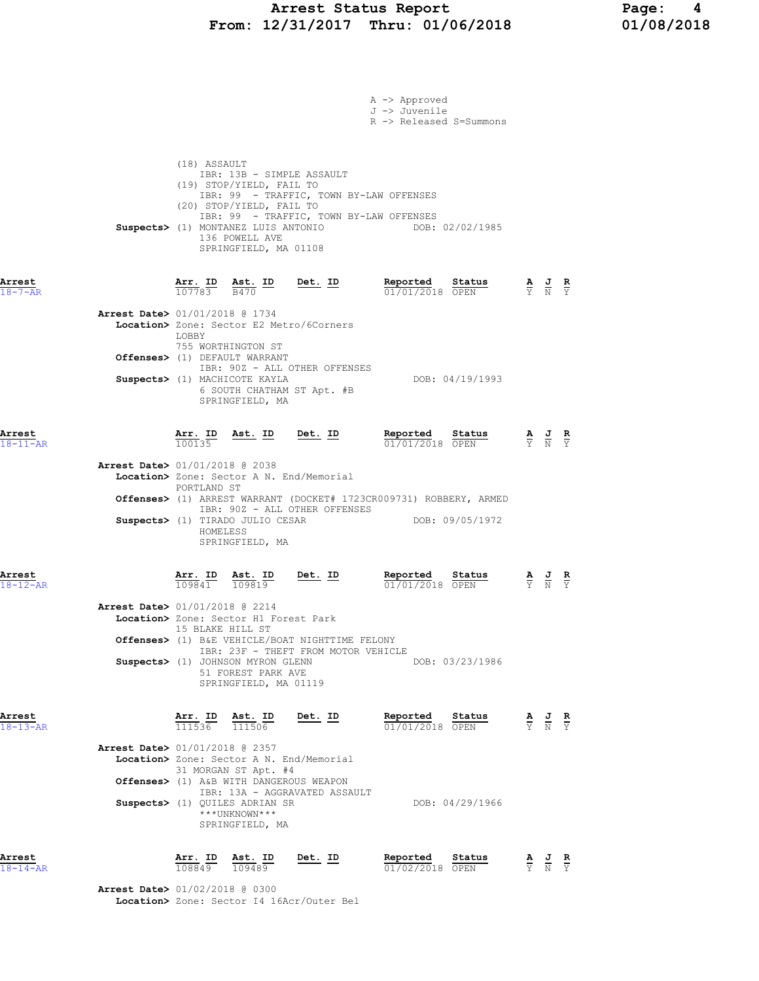### Arrest Status Report Page: 4 From:  $12/31/2017$  Thru:  $01/06/2018$

|                                |                                                                                                             |                                                    |                                                                                                                           | A -> Approved<br>J -> Juvenile<br>R -> Released S=Summons |                 |                                                                                                 |  |
|--------------------------------|-------------------------------------------------------------------------------------------------------------|----------------------------------------------------|---------------------------------------------------------------------------------------------------------------------------|-----------------------------------------------------------|-----------------|-------------------------------------------------------------------------------------------------|--|
|                                | (18) ASSAULT<br>(19) STOP/YIELD, FAIL TO<br>(20) STOP/YIELD, FAIL TO<br>136 POWELL AVE                      | IBR: 13B - SIMPLE ASSAULT<br>SPRINGFIELD, MA 01108 | IBR: 99 - TRAFFIC, TOWN BY-LAW OFFENSES<br>IBR: 99 - TRAFFIC, TOWN BY-LAW OFFENSES<br>Suspects> (1) MONTANEZ LUIS ANTONIO |                                                           | DOB: 02/02/1985 |                                                                                                 |  |
| Arrest<br>$18 - 7 - AR$        | Arr. ID<br>107783                                                                                           | $\frac{\text{Ast.}}{\text{B470}}$ ID<br>B470       | $Det. ID$                                                                                                                 | Reported<br>01/01/2018 OPEN                               | Status          | $\frac{\mathbf{A}}{\mathbf{Y}}$ $\frac{\mathbf{J}}{\mathbf{N}}$ $\frac{\mathbf{R}}{\mathbf{Y}}$ |  |
| Arrest Date> 01/01/2018 @ 1734 | Location> Zone: Sector E2 Metro/6Corners<br>LOBBY<br>755 WORTHINGTON ST                                     |                                                    |                                                                                                                           |                                                           |                 |                                                                                                 |  |
|                                | Offenses> (1) DEFAULT WARRANT<br>Suspects> (1) MACHICOTE KAYLA                                              |                                                    | IBR: 90Z - ALL OTHER OFFENSES                                                                                             |                                                           | DOB: 04/19/1993 |                                                                                                 |  |
|                                |                                                                                                             | 6 SOUTH CHATHAM ST Apt. #B<br>SPRINGFIELD, MA      |                                                                                                                           |                                                           |                 |                                                                                                 |  |
| Arrest<br>$18 - 11 - AR$       | Arr. ID<br>100135                                                                                           | <u>Ast.</u> ID                                     | Det. ID                                                                                                                   | Reported<br>01/01/2018 OPEN                               | Status          | $\frac{\mathbf{A}}{\mathbf{Y}}$ $\frac{\mathbf{J}}{\mathbf{N}}$ $\frac{\mathbf{R}}{\mathbf{Y}}$ |  |
| Arrest Date> 01/01/2018 @ 2038 | Location> Zone: Sector A N. End/Memorial<br>PORTLAND ST                                                     |                                                    |                                                                                                                           |                                                           |                 |                                                                                                 |  |
|                                | Suspects> (1) TIRADO JULIO CESAR<br>HOMELESS                                                                | SPRINGFIELD, MA                                    | <b>Offenses&gt;</b> (1) ARREST WARRANT (DOCKET# 1723CR009731) ROBBERY, ARMED<br>IBR: 90Z - ALL OTHER OFFENSES             |                                                           | DOB: 09/05/1972 |                                                                                                 |  |
| Arrest<br>$18 - 12 - AR$       | $\frac{\text{Arr.}}{109841}$                                                                                | <u>Ast. ID</u><br>109819                           | <u>Det. ID</u>                                                                                                            | Reported<br>01/01/2018 OPEN                               | Status          | $\frac{\mathbf{A}}{\mathbf{Y}}$ $\frac{\mathbf{J}}{\mathbf{N}}$ $\frac{\mathbf{R}}{\mathbf{Y}}$ |  |
| Arrest Date> 01/01/2018 @ 2214 | Location> Zone: Sector Hl Forest Park<br>15 BLAKE HILL ST                                                   |                                                    | Offenses> (1) B&E VEHICLE/BOAT NIGHTTIME FELONY                                                                           |                                                           |                 |                                                                                                 |  |
|                                | Suspects> (1) JOHNSON MYRON GLENN                                                                           | 51 FOREST PARK AVE<br>SPRINGFIELD, MA 01119        | IBR: 23F - THEFT FROM MOTOR VEHICLE                                                                                       |                                                           | DOB: 03/23/1986 |                                                                                                 |  |
| Arrest<br>$18 - 13 - AR$       | $\frac{\texttt{Arr. ID}}{111536}$ $\frac{\texttt{ Ast. ID}}{111506}$                                        |                                                    | <u>Det. ID</u>                                                                                                            | Reported Status<br>01/01/2018 OPEN                        |                 | $\frac{\mathbf{A}}{\mathbf{Y}}$ $\frac{\mathbf{J}}{\mathbf{N}}$ $\frac{\mathbf{R}}{\mathbf{Y}}$ |  |
| Arrest Date> 01/01/2018 @ 2357 | Location> Zone: Sector A N. End/Memorial<br>31 MORGAN ST Apt. #4<br>Offenses> (1) A&B WITH DANGEROUS WEAPON |                                                    |                                                                                                                           |                                                           |                 |                                                                                                 |  |
|                                | Suspects> (1) QUILES ADRIAN SR<br>***UNKNOWN***                                                             | SPRINGFIELD, MA                                    | IBR: 13A - AGGRAVATED ASSAULT                                                                                             |                                                           | DOB: 04/29/1966 |                                                                                                 |  |
| Arrest<br>$18 - 14 - AR$       | Arr. ID<br>108849                                                                                           | Ast. ID<br>109489                                  | <u>Det. ID</u>                                                                                                            | Reported<br>01/02/2018 OPEN                               | Status          | $\frac{\mathbf{A}}{\mathbf{Y}}$ $\frac{\mathbf{J}}{\mathbf{N}}$ $\frac{\mathbf{R}}{\mathbf{Y}}$ |  |
| Arrest Date> 01/02/2018 @ 0300 |                                                                                                             |                                                    |                                                                                                                           |                                                           |                 |                                                                                                 |  |

Location> Zone: Sector I4 16Acr/Outer Bel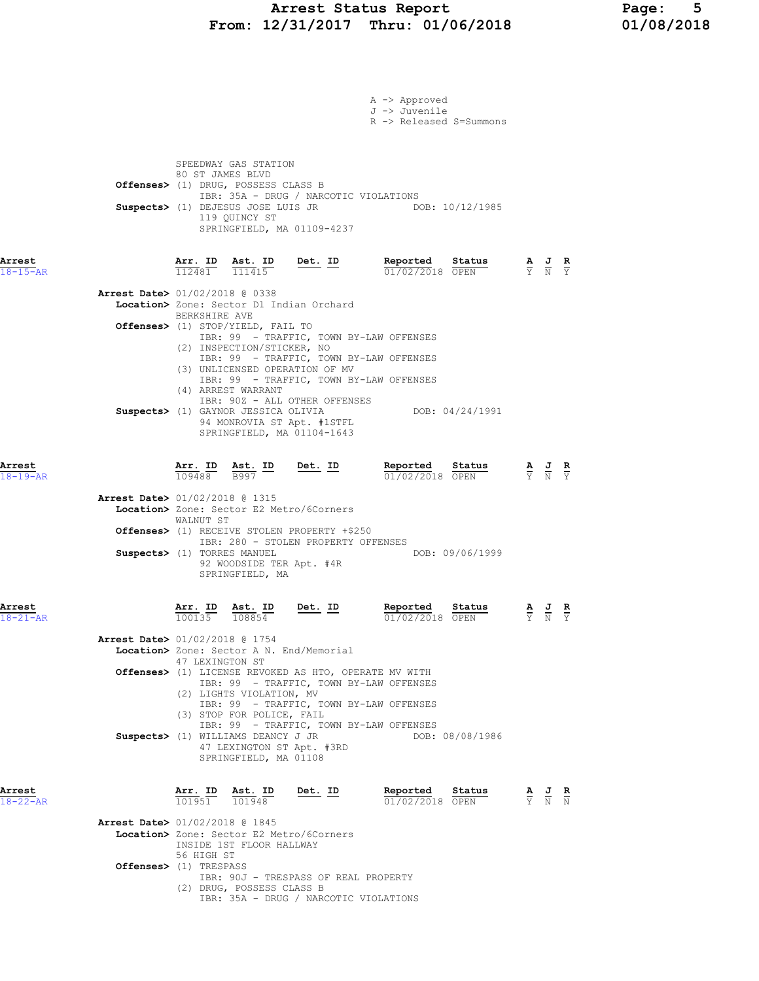# Arrest Status Report 12/31/2017 Thru: 01/06/2018 12/08/2018 From:  $12/31/2017$  Thru:  $01/06/2018$

|                          |                                                                                                                                                            |                                                                                                                                                                                                                                                                                          | A -> Approved<br>J -> Juvenile<br>R -> Released S=Summons |                                                                                                 |
|--------------------------|------------------------------------------------------------------------------------------------------------------------------------------------------------|------------------------------------------------------------------------------------------------------------------------------------------------------------------------------------------------------------------------------------------------------------------------------------------|-----------------------------------------------------------|-------------------------------------------------------------------------------------------------|
|                          | SPEEDWAY GAS STATION<br>80 ST JAMES BLVD<br>Offenses> (1) DRUG, POSSESS CLASS B<br>Suspects> (1) DEJESUS JOSE LUIS JR<br>119 QUINCY ST                     | IBR: 35A - DRUG / NARCOTIC VIOLATIONS<br>SPRINGFIELD, MA 01109-4237                                                                                                                                                                                                                      | DOB: 10/12/1985                                           |                                                                                                 |
| Arrest<br>$18 - 15 - AR$ |                                                                                                                                                            | $\frac{\texttt{Arr. ID}}{112481}$ $\frac{\texttt{ Ast. ID}}{111415}$ Det. ID                                                                                                                                                                                                             | Reported<br><u>Status</u><br>01/02/2018 OPEN              | $\frac{\mathbf{A}}{\mathbf{Y}}$ $\frac{\mathbf{J}}{\mathbf{N}}$ $\frac{\mathbf{R}}{\mathbf{Y}}$ |
|                          | Arrest Date> 01/02/2018 @ 0338<br>BERKSHIRE AVE<br><b>Offenses&gt;</b> (1) STOP/YIELD, FAIL TO<br>(2) INSPECTION/STICKER, NO                               | Location> Zone: Sector D1 Indian Orchard<br>IBR: 99 - TRAFFIC, TOWN BY-LAW OFFENSES<br>IBR: 99 - TRAFFIC, TOWN BY-LAW OFFENSES                                                                                                                                                           |                                                           |                                                                                                 |
|                          | (4) ARREST WARRANT                                                                                                                                         | (3) UNLICENSED OPERATION OF MV<br>IBR: 99 - TRAFFIC, TOWN BY-LAW OFFENSES<br>IBR: 90Z - ALL OTHER OFFENSES<br>Suspects> (1) GAYNOR JESSICA OLIVIA<br>94 MONROVIA ST Apt. #1STFL<br>SPRINGFIELD, MA 01104-1643                                                                            | DOB: 04/24/1991                                           |                                                                                                 |
| Arrest<br>$18 - 19 - AR$ | $\frac{\texttt{Arr. ID}}{109488}$ $\frac{\texttt{ Ast. ID}}{B997}$<br>109488                                                                               | $Det. ID$                                                                                                                                                                                                                                                                                | Reported<br>Status<br>$01/02/2018$ OPEN                   | $\frac{\mathbf{A}}{\mathbf{Y}}$ $\frac{\mathbf{J}}{\mathbf{N}}$ $\frac{\mathbf{R}}{\mathbf{Y}}$ |
|                          | Arrest Date> 01/02/2018 @ 1315<br>WALNUT ST<br>Suspects> (1) TORRES MANUEL<br>SPRINGFIELD, MA                                                              | Location> Zone: Sector E2 Metro/6Corners<br>Offenses> (1) RECEIVE STOLEN PROPERTY +\$250<br>IBR: 280 - STOLEN PROPERTY OFFENSES<br>92 WOODSIDE TER Apt. #4R                                                                                                                              | DOB: 09/06/1999                                           |                                                                                                 |
| Arrest<br>$18 - 21 - AR$ | Arr. ID<br>Ast. ID<br>108854<br>100135                                                                                                                     | Det. ID                                                                                                                                                                                                                                                                                  | Reported<br>Status<br>01/02/2018 OPEN                     | $\frac{\mathbf{A}}{\mathbf{Y}}$ $\frac{\mathbf{J}}{\mathbf{N}}$ $\frac{\mathbf{R}}{\mathbf{Y}}$ |
|                          | <b>Arrest Date&gt;</b> 01/02/2018 @ 1754<br>47 LEXINGTON ST<br>(2) LIGHTS VIOLATION, MV<br>(3) STOP FOR POLICE, FAIL<br>Suspects> (1) WILLIAMS DEANCY J JR | Location> Zone: Sector A N. End/Memorial<br>Offenses> (1) LICENSE REVOKED AS HTO, OPERATE MV WITH<br>IBR: 99 - TRAFFIC, TOWN BY-LAW OFFENSES<br>IBR: 99 - TRAFFIC, TOWN BY-LAW OFFENSES<br>IBR: 99 - TRAFFIC, TOWN BY-LAW OFFENSES<br>47 LEXINGTON ST Apt. #3RD<br>SPRINGFIELD, MA 01108 | DOB: 08/08/1986                                           |                                                                                                 |
| Arrest<br>$18 - 22 - AR$ | Arr. ID Ast. ID<br>101951<br>101948                                                                                                                        | Det. ID                                                                                                                                                                                                                                                                                  | Reported<br>Status<br>01/02/2018 OPEN                     | $\frac{\mathbf{A}}{\mathbf{Y}}$ $\frac{\mathbf{J}}{\mathbf{N}}$ $\frac{\mathbf{R}}{\mathbf{N}}$ |
|                          | <b>Arrest Date&gt;</b> 01/02/2018 @ 1845<br>INSIDE 1ST FLOOR HALLWAY<br>56 HIGH ST<br>Offenses> (1) TRESPASS                                               | Location> Zone: Sector E2 Metro/6Corners                                                                                                                                                                                                                                                 |                                                           |                                                                                                 |
|                          | (2) DRUG, POSSESS CLASS B                                                                                                                                  | IBR: 90J - TRESPASS OF REAL PROPERTY<br>IBR: 35A - DRUG / NARCOTIC VIOLATIONS                                                                                                                                                                                                            |                                                           |                                                                                                 |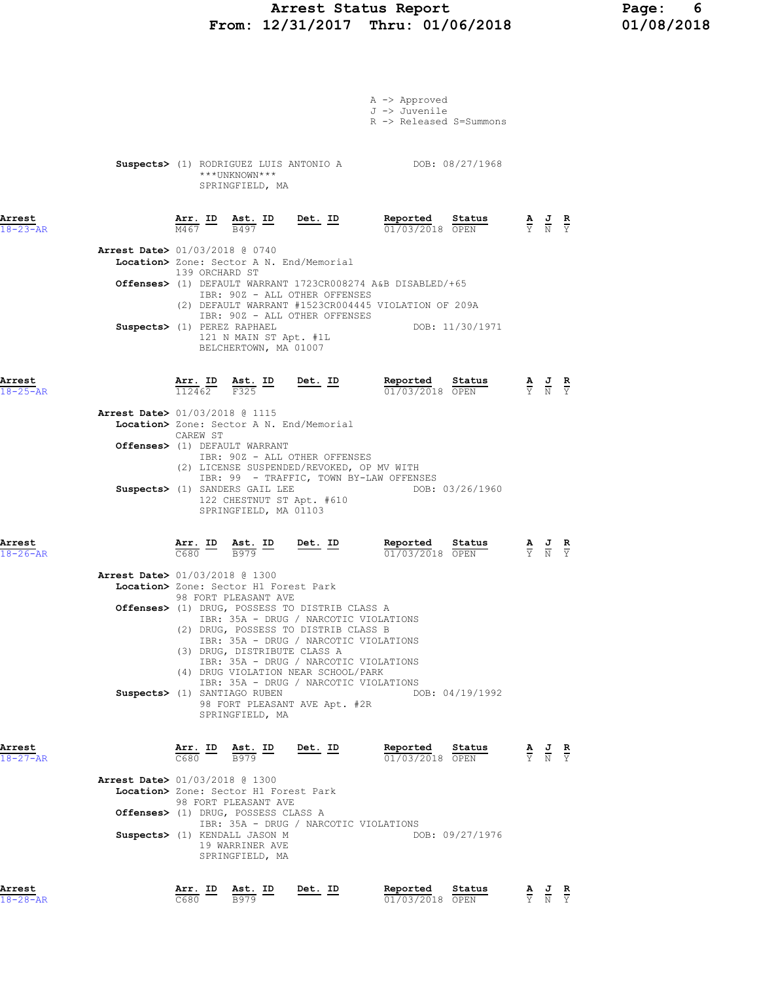### Arrest Status Report Page: 6 From: 12/31/2017 Thru: 01/06/2018 01/08/2018

|                          |                                                                                                                                                                                       |                                                                                                                         | A -> Approved<br>J -> Juvenile<br>R -> Released S=Summons |                                                                                                 |
|--------------------------|---------------------------------------------------------------------------------------------------------------------------------------------------------------------------------------|-------------------------------------------------------------------------------------------------------------------------|-----------------------------------------------------------|-------------------------------------------------------------------------------------------------|
|                          | ***UNKNOWN***<br>SPRINGFIELD, MA                                                                                                                                                      |                                                                                                                         | Suspects> (1) RODRIGUEZ LUIS ANTONIO A DOB: 08/27/1968    |                                                                                                 |
| Arrest<br>$18 - 23 - AR$ | $\frac{\texttt{Arr.}}{\text{M467}}$ ID                                                                                                                                                | $rac{\text{Ast.}}{\text{B497}}$ ID Det. ID                                                                              | Reported<br>Status<br>01/03/2018 OPEN                     | $\frac{\mathbf{A}}{\mathbf{Y}}$ $\frac{\mathbf{J}}{\mathbf{N}}$ $\frac{\mathbf{R}}{\mathbf{Y}}$ |
|                          | Arrest Date> 01/03/2018 @ 0740<br>Location> Zone: Sector A N. End/Memorial                                                                                                            |                                                                                                                         |                                                           |                                                                                                 |
|                          | 139 ORCHARD ST<br>Offenses> (1) DEFAULT WARRANT 1723CR008274 A&B DISABLED/+65                                                                                                         | IBR: 90Z - ALL OTHER OFFENSES<br>IBR: 90Z - ALL OTHER OFFENSES                                                          | (2) DEFAULT WARRANT #1523CR004445 VIOLATION OF 209A       |                                                                                                 |
|                          | Suspects> (1) PEREZ RAPHAEL<br>121 N MAIN ST Apt. #1L<br>BELCHERTOWN, MA 01007                                                                                                        |                                                                                                                         | DOB: 11/30/1971                                           |                                                                                                 |
| Arrest<br>$18 - 25 - AR$ | $\frac{\texttt{Arr.}}{112462}$<br><u>Ast. ID</u><br>F325                                                                                                                              | <u>Det.</u> ID                                                                                                          | Reported<br>Status<br>01/03/2018 OPEN                     | $\frac{\mathbf{A}}{\mathbf{Y}}$ $\frac{\mathbf{J}}{\mathbf{N}}$ $\frac{\mathbf{R}}{\mathbf{Y}}$ |
|                          | Arrest Date> 01/03/2018 @ 1115<br>Location> Zone: Sector A N. End/Memorial<br>CAREW ST                                                                                                |                                                                                                                         |                                                           |                                                                                                 |
|                          | Offenses> (1) DEFAULT WARRANT<br>(2) LICENSE SUSPENDED/REVOKED, OP MV WITH                                                                                                            | IBR: 90Z - ALL OTHER OFFENSES                                                                                           |                                                           |                                                                                                 |
|                          | Suspects> (1) SANDERS GAIL LEE<br>122 CHESTNUT ST Apt. #610<br>SPRINGFIELD, MA 01103                                                                                                  | IBR: 99 - TRAFFIC, TOWN BY-LAW OFFENSES                                                                                 | DOB: 03/26/1960                                           |                                                                                                 |
| Arrest<br>$18 - 26 - AR$ | $\frac{\texttt{Arr.}}{\texttt{C680}}$ ID $\frac{\texttt{Ast.}}{\texttt{B979}}$ ID                                                                                                     | <u>Det. ID</u>                                                                                                          | <u>Reported</u><br>Sta <u>tus</u><br>01/03/2018 OPEN      | $\frac{\mathbf{A}}{\mathbf{Y}}$ $\frac{\mathbf{J}}{\mathbf{N}}$ $\frac{\mathbf{R}}{\mathbf{Y}}$ |
|                          | Arrest Date> 01/03/2018 @ 1300<br>Location> Zone: Sector H1 Forest Park                                                                                                               |                                                                                                                         |                                                           |                                                                                                 |
|                          | 98 FORT PLEASANT AVE<br>Offenses> (1) DRUG, POSSESS TO DISTRIB CLASS A<br>(2) DRUG, POSSESS TO DISTRIB CLASS B<br>(3) DRUG, DISTRIBUTE CLASS A<br>(4) DRUG VIOLATION NEAR SCHOOL/PARK | IBR: 35A - DRUG / NARCOTIC VIOLATIONS<br>IBR: 35A - DRUG / NARCOTIC VIOLATIONS<br>IBR: 35A - DRUG / NARCOTIC VIOLATIONS |                                                           |                                                                                                 |
|                          | Suspects> (1) SANTIAGO RUBEN<br>SPRINGFIELD, MA                                                                                                                                       | IBR: 35A - DRUG / NARCOTIC VIOLATIONS<br>98 FORT PLEASANT AVE Apt. #2R                                                  | DOB: 04/19/1992                                           |                                                                                                 |
| Arrest<br>$18 - 27 - AR$ | Arr. ID<br>Ast. ID<br>C680<br>B979                                                                                                                                                    | <u>Det.</u> ID                                                                                                          | Reported<br>Status<br>01/03/2018 OPEN                     | $\frac{\mathbf{A}}{\mathbf{Y}}$ $\frac{\mathbf{J}}{\mathbf{N}}$ $\frac{\mathbf{R}}{\mathbf{Y}}$ |
|                          | <b>Arrest Date&gt;</b> 01/03/2018 @ 1300<br>Location> Zone: Sector H1 Forest Park<br>98 FORT PLEASANT AVE                                                                             |                                                                                                                         |                                                           |                                                                                                 |
|                          | Offenses> (1) DRUG, POSSESS CLASS A                                                                                                                                                   | IBR: 35A - DRUG / NARCOTIC VIOLATIONS                                                                                   |                                                           |                                                                                                 |
|                          | Suspects> (1) KENDALL JASON M<br>19 WARRINER AVE<br>SPRINGFIELD, MA                                                                                                                   |                                                                                                                         | DOB: 09/27/1976                                           |                                                                                                 |
| Arrest<br>$18 - 28 - AR$ | Arr. ID<br>Ast. ID<br>C680<br>B979                                                                                                                                                    | Det. ID                                                                                                                 | Reported<br>Status<br>01/03/2018 OPEN                     | $\frac{\mathbf{A}}{\mathbf{Y}}$ $\frac{\mathbf{J}}{\mathbf{N}}$ $\frac{\mathbf{R}}{\mathbf{Y}}$ |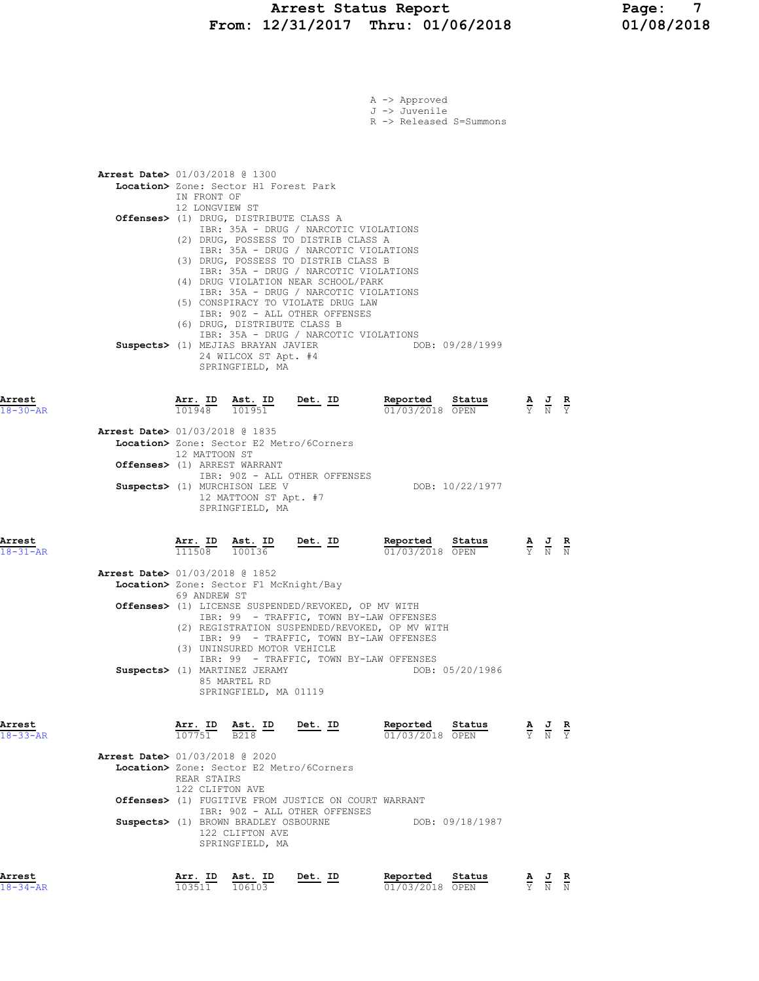#### Arrest Status Report Page: 7 From: 12/31/2017 Thru: 01/06/2018 01/08/2018

|                          |                                                                                                                                                              |                                                                                                                                                                                                                                                                                                                        | A -> Approved<br>J -> Juvenile<br>R -> Released S=Summons |                 |                                                                                                       |  |
|--------------------------|--------------------------------------------------------------------------------------------------------------------------------------------------------------|------------------------------------------------------------------------------------------------------------------------------------------------------------------------------------------------------------------------------------------------------------------------------------------------------------------------|-----------------------------------------------------------|-----------------|-------------------------------------------------------------------------------------------------------|--|
|                          | <b>Arrest Date&gt;</b> 01/03/2018 @ 1300<br>Location> Zone: Sector H1 Forest Park<br>IN FRONT OF<br>12 LONGVIEW ST<br>Offenses> (1) DRUG, DISTRIBUTE CLASS A | IBR: 35A - DRUG / NARCOTIC VIOLATIONS<br>(2) DRUG, POSSESS TO DISTRIB CLASS A                                                                                                                                                                                                                                          |                                                           |                 |                                                                                                       |  |
|                          | (6) DRUG, DISTRIBUTE CLASS B<br>Suspects> (1) MEJIAS BRAYAN JAVIER<br>24 WILCOX ST Apt. #4<br>SPRINGFIELD, MA                                                | IBR: 35A - DRUG / NARCOTIC VIOLATIONS<br>(3) DRUG, POSSESS TO DISTRIB CLASS B<br>IBR: 35A - DRUG / NARCOTIC VIOLATIONS<br>(4) DRUG VIOLATION NEAR SCHOOL/PARK<br>IBR: 35A - DRUG / NARCOTIC VIOLATIONS<br>(5) CONSPIRACY TO VIOLATE DRUG LAW<br>IBR: 90Z - ALL OTHER OFFENSES<br>IBR: 35A - DRUG / NARCOTIC VIOLATIONS |                                                           | DOB: 09/28/1999 |                                                                                                       |  |
| Arrest<br>$18 - 30 - AR$ | Arr. ID<br>Ast. ID<br>101948<br>101951                                                                                                                       | $Det. ID$                                                                                                                                                                                                                                                                                                              | Reported<br>01/03/2018 OPEN                               | Status          | $\frac{\mathbf{A}}{\mathbf{Y}}$ $\frac{\mathbf{J}}{\mathbf{N}}$ $\frac{\mathbf{R}}{\mathbf{Y}}$       |  |
|                          | Arrest Date> 01/03/2018 @ 1835<br><b>Location&gt;</b> Zone: Sector E2 Metro/6Corners                                                                         |                                                                                                                                                                                                                                                                                                                        |                                                           |                 |                                                                                                       |  |
|                          | 12 MATTOON ST<br>Offenses> (1) ARREST WARRANT                                                                                                                | IBR: 90Z - ALL OTHER OFFENSES                                                                                                                                                                                                                                                                                          |                                                           |                 |                                                                                                       |  |
|                          | Suspects> (1) MURCHISON LEE V<br>12 MATTOON ST Apt. #7<br>SPRINGFIELD, MA                                                                                    |                                                                                                                                                                                                                                                                                                                        |                                                           | DOB: 10/22/1977 |                                                                                                       |  |
| Arrest<br>$18 - 31 - AR$ | Arr. ID Ast. ID<br>111508<br>100136                                                                                                                          | $Det. ID$                                                                                                                                                                                                                                                                                                              | Reported<br>01/03/2018 OPEN                               | Status          | $\frac{\mathbf{A}}{\mathbf{Y}}$ $\frac{\mathbf{J}}{\mathbf{N}}$ $\frac{\mathbf{R}}{\mathbf{N}}$       |  |
|                          | Arrest Date> 01/03/2018 @ 1852<br>Location> Zone: Sector F1 McKnight/Bay                                                                                     |                                                                                                                                                                                                                                                                                                                        |                                                           |                 |                                                                                                       |  |
|                          | 69 ANDREW ST                                                                                                                                                 | Offenses> (1) LICENSE SUSPENDED/REVOKED, OP MV WITH<br>IBR: 99 - TRAFFIC, TOWN BY-LAW OFFENSES<br>(2) REGISTRATION SUSPENDED/REVOKED, OP MV WITH<br>IBR: 99 - TRAFFIC, TOWN BY-LAW OFFENSES                                                                                                                            |                                                           |                 |                                                                                                       |  |
|                          | (3) UNINSURED MOTOR VEHICLE<br>Suspects> (1) MARTINEZ JERAMY<br>85 MARTEL RD<br>SPRINGFIELD, MA 01119                                                        | IBR: 99 - TRAFFIC, TOWN BY-LAW OFFENSES                                                                                                                                                                                                                                                                                |                                                           | DOB: 05/20/1986 |                                                                                                       |  |
| Arrest<br>$18 - 33 - AR$ | Arr. ID Ast. ID<br>107751<br><b>B218</b>                                                                                                                     | Det. ID                                                                                                                                                                                                                                                                                                                | Reported<br>01/03/2018 OPEN                               | Status          | $\frac{\mathbf{A}}{\overline{Y}}$ $\frac{\mathbf{J}}{\overline{N}}$ $\frac{\mathbf{R}}{\overline{Y}}$ |  |
|                          | <b>Arrest Date&gt; 01/03/2018 @ 2020</b><br>Location> Zone: Sector E2 Metro/6Corners<br>REAR STAIRS<br>122 CLIFTON AVE                                       |                                                                                                                                                                                                                                                                                                                        |                                                           |                 |                                                                                                       |  |
|                          |                                                                                                                                                              | Offenses> (1) FUGITIVE FROM JUSTICE ON COURT WARRANT<br>IBR: 90Z - ALL OTHER OFFENSES                                                                                                                                                                                                                                  |                                                           |                 |                                                                                                       |  |
|                          | Suspects> (1) BROWN BRADLEY OSBOURNE<br>122 CLIFTON AVE<br>SPRINGFIELD, MA                                                                                   |                                                                                                                                                                                                                                                                                                                        |                                                           | DOB: 09/18/1987 |                                                                                                       |  |

Arrest Arr. ID Ast. ID Det. ID Reported Status A J R 18-34-AR 103511 106103 01/03/2018 OPEN Y N N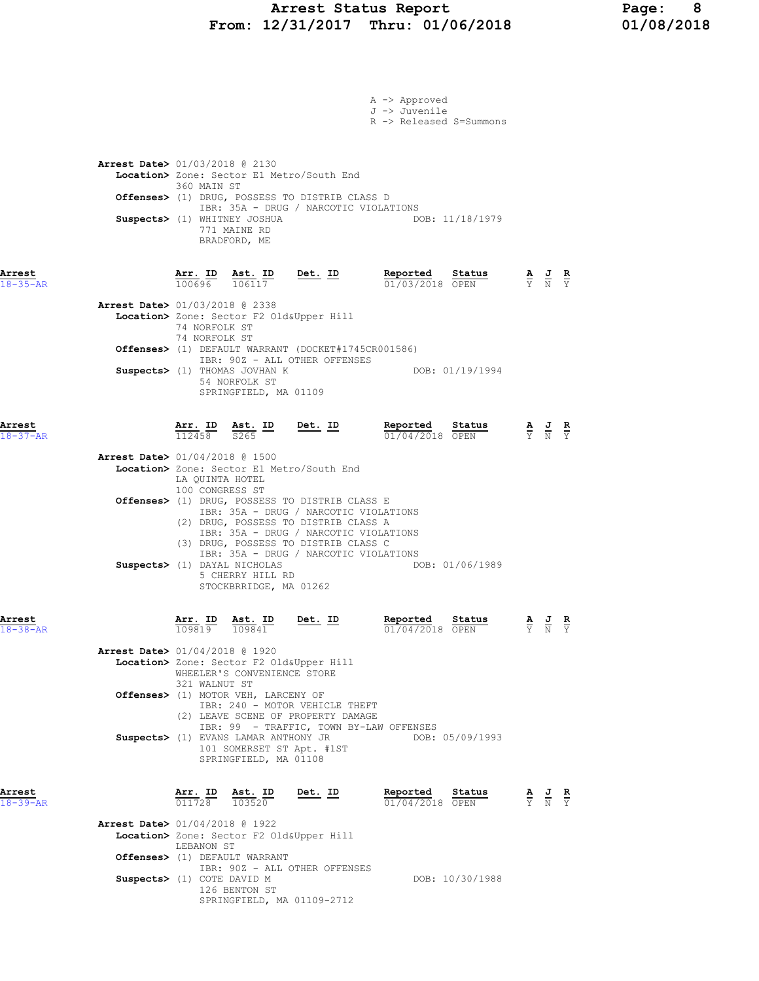# Arrest Status Report Page: 8<br>12/31/2017 Thru: 01/06/2018 01/08/2018 From:  $12/31/2017$  Thru:  $01/06/2018$

|                          |                                          |                                    |                                                                                                                                            |                                                                                                                                                                                                                  | A -> Approved<br>J -> Juvenile<br>R -> Released S=Summons |                 |                  |                                                                                                 |  |
|--------------------------|------------------------------------------|------------------------------------|--------------------------------------------------------------------------------------------------------------------------------------------|------------------------------------------------------------------------------------------------------------------------------------------------------------------------------------------------------------------|-----------------------------------------------------------|-----------------|------------------|-------------------------------------------------------------------------------------------------|--|
|                          | <b>Arrest Date&gt;</b> 01/03/2018 @ 2130 | 360 MAIN ST                        | Suspects> (1) WHITNEY JOSHUA<br>771 MAINE RD<br>BRADFORD, ME                                                                               | Location> Zone: Sector E1 Metro/South End<br>Offenses> (1) DRUG, POSSESS TO DISTRIB CLASS D<br>IBR: 35A - DRUG / NARCOTIC VIOLATIONS                                                                             |                                                           | DOB: 11/18/1979 |                  |                                                                                                 |  |
| Arrest<br>$18 - 35 - AR$ |                                          |                                    | $\frac{\texttt{Arr.}}{100696}$ $\frac{\texttt{ Ast.}}{106117}$                                                                             | <u>Det. ID</u>                                                                                                                                                                                                   | Reported Status<br>01/03/2018 OPEN                        |                 |                  | $\frac{\mathbf{A}}{\mathbf{Y}}$ $\frac{\mathbf{J}}{\mathbf{N}}$ $\frac{\mathbf{R}}{\mathbf{Y}}$ |  |
|                          | <b>Arrest Date&gt; 01/03/2018 @ 2338</b> | 74 NORFOLK ST<br>74 NORFOLK ST     |                                                                                                                                            | Location> Zone: Sector F2 Old&Upper Hill<br>Offenses> (1) DEFAULT WARRANT (DOCKET#1745CR001586)<br>IBR: 90Z - ALL OTHER OFFENSES                                                                                 |                                                           |                 |                  |                                                                                                 |  |
|                          |                                          |                                    | Suspects> (1) THOMAS JOVHAN K<br>54 NORFOLK ST<br>SPRINGFIELD, MA 01109                                                                    |                                                                                                                                                                                                                  |                                                           | DOB: 01/19/1994 |                  |                                                                                                 |  |
| Arrest<br>$18 - 37 - AR$ |                                          |                                    |                                                                                                                                            | $\frac{\texttt{Arr.}}{112458}$ $\frac{\texttt{Ab.}}{8265}$ $\frac{\texttt{ID}}{200}$ $\frac{\texttt{Det.}}{200}$                                                                                                 | Reported<br>$01/04/2018$ OPEN                             | Status          |                  | $\frac{\mathbf{A}}{\mathbf{Y}}$ $\frac{\mathbf{J}}{\mathbf{N}}$ $\frac{\mathbf{R}}{\mathbf{Y}}$ |  |
|                          | <b>Arrest Date&gt;</b> 01/04/2018 @ 1500 | LA QUINTA HOTEL<br>100 CONGRESS ST |                                                                                                                                            | Location> Zone: Sector E1 Metro/South End                                                                                                                                                                        |                                                           |                 |                  |                                                                                                 |  |
|                          |                                          |                                    |                                                                                                                                            | Offenses> (1) DRUG, POSSESS TO DISTRIB CLASS E<br>IBR: 35A - DRUG / NARCOTIC VIOLATIONS<br>(2) DRUG, POSSESS TO DISTRIB CLASS A<br>IBR: 35A - DRUG / NARCOTIC VIOLATIONS<br>(3) DRUG, POSSESS TO DISTRIB CLASS C |                                                           |                 |                  |                                                                                                 |  |
|                          |                                          |                                    | Suspects> (1) DAYAL NICHOLAS<br>5 CHERRY HILL RD<br>STOCKBRRIDGE, MA 01262                                                                 | IBR: 35A - DRUG / NARCOTIC VIOLATIONS                                                                                                                                                                            |                                                           | DOB: 01/06/1989 |                  |                                                                                                 |  |
| Arrest<br>$18 - 38 - AR$ |                                          |                                    | $\frac{\text{Arr. ID}}{109810}$ $\frac{\text{Ast. ID}}{109841}$ $\frac{\text{Det. ID}}{109841}$<br>$\overline{109819}$ $\overline{109841}$ |                                                                                                                                                                                                                  | Reported<br>01/04/2018 OPEN                               | Status          | A J R<br>$Y$ N Y |                                                                                                 |  |
|                          | Arrest Date> 01/04/2018 @ 1920           | 321 WALNUT ST                      | WHEELER'S CONVENIENCE STORE<br>Offenses> (1) MOTOR VEH, LARCENY OF                                                                         | Location> Zone: Sector F2 Old&Upper Hill                                                                                                                                                                         |                                                           |                 |                  |                                                                                                 |  |
|                          |                                          |                                    | Suspects> (1) EVANS LAMAR ANTHONY JR<br>SPRINGFIELD, MA 01108                                                                              | IBR: 240 - MOTOR VEHICLE THEFT<br>(2) LEAVE SCENE OF PROPERTY DAMAGE<br>IBR: 99 - TRAFFIC, TOWN BY-LAW OFFENSES<br>101 SOMERSET ST Apt. #1ST                                                                     |                                                           | DOB: 05/09/1993 |                  |                                                                                                 |  |
| Arrest<br>$18 - 39 - AR$ |                                          |                                    |                                                                                                                                            | $\frac{\texttt{Arr.}}{011728}$ $\frac{\texttt{ Ast.}}{103520}$ Det. ID                                                                                                                                           | Reported Status<br>01/04/2018 OPEN                        |                 |                  | $\frac{\mathbf{A}}{\mathbf{Y}}$ $\frac{\mathbf{J}}{\mathbf{N}}$ $\frac{\mathbf{R}}{\mathbf{Y}}$ |  |
|                          | <b>Arrest Date&gt;</b> 01/04/2018 @ 1922 | LEBANON ST                         |                                                                                                                                            | Location> Zone: Sector F2 Old&Upper Hill                                                                                                                                                                         |                                                           |                 |                  |                                                                                                 |  |
|                          | Suspects> (1) COTE DAVID M               |                                    | Offenses> (1) DEFAULT WARRANT<br>126 BENTON ST                                                                                             | IBR: 90Z - ALL OTHER OFFENSES                                                                                                                                                                                    |                                                           | DOB: 10/30/1988 |                  |                                                                                                 |  |
|                          |                                          |                                    |                                                                                                                                            | SPRINGFIELD, MA 01109-2712                                                                                                                                                                                       |                                                           |                 |                  |                                                                                                 |  |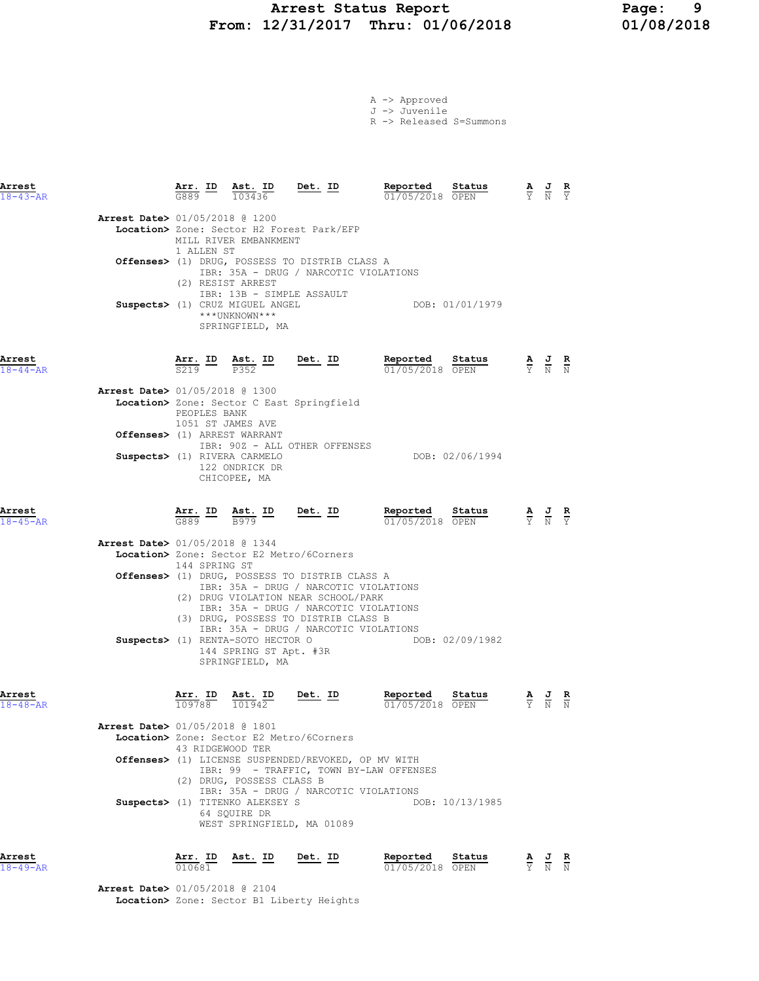#### Arrest Status Report Page: 9 From: 12/31/2017 Thru: 01/06/2018 01/08/2018

| A -> Approved |                                    |
|---------------|------------------------------------|
| J -> Juvenile |                                    |
|               | $R \rightarrow$ Released S=Summons |

| Arrest<br>$18 - 43 - AR$ |                                          |                                   | $\frac{\texttt{Arr.}}{\texttt{G889}}$ $\frac{\texttt{Ab.}}{103436}$                       | $Det. ID$                                                                                                                      | Reported<br>01/05/2018 OPEN | Status          |                  | $\frac{\mathbf{A}}{\mathbf{Y}}$ $\frac{\mathbf{J}}{\mathbf{N}}$ $\frac{\mathbf{R}}{\mathbf{Y}}$ |   |
|--------------------------|------------------------------------------|-----------------------------------|-------------------------------------------------------------------------------------------|--------------------------------------------------------------------------------------------------------------------------------|-----------------------------|-----------------|------------------|-------------------------------------------------------------------------------------------------|---|
|                          | Arrest Date> 01/05/2018 @ 1200           |                                   |                                                                                           |                                                                                                                                |                             |                 |                  |                                                                                                 |   |
|                          |                                          |                                   | MILL RIVER EMBANKMENT                                                                     | Location> Zone: Sector H2 Forest Park/EFP                                                                                      |                             |                 |                  |                                                                                                 |   |
|                          |                                          | 1 ALLEN ST                        |                                                                                           | Offenses> (1) DRUG, POSSESS TO DISTRIB CLASS A<br>IBR: 35A - DRUG / NARCOTIC VIOLATIONS                                        |                             |                 |                  |                                                                                                 |   |
|                          |                                          |                                   | (2) RESIST ARREST<br>IBR: 13B - SIMPLE ASSAULT<br>Suspects> (1) CRUZ MIGUEL ANGEL         |                                                                                                                                |                             | DOB: 01/01/1979 |                  |                                                                                                 |   |
|                          |                                          |                                   | ***UNKNOWN***<br>SPRINGFIELD, MA                                                          |                                                                                                                                |                             |                 |                  |                                                                                                 |   |
| Arrest<br>$18 - 44 - AR$ |                                          |                                   | $\frac{\text{Arr.}}{\text{S219}}$ ID $\frac{\text{Ast.}}{\text{P352}}$ ID Det. ID         |                                                                                                                                | Reported<br>01/05/2018 OPEN | Status          |                  | $\frac{\mathbf{A}}{\mathbf{Y}}$ $\frac{\mathbf{J}}{\mathbf{N}}$ $\frac{\mathbf{R}}{\mathbf{N}}$ |   |
|                          |                                          |                                   |                                                                                           |                                                                                                                                |                             |                 |                  |                                                                                                 |   |
|                          | Arrest Date> 01/05/2018 @ 1300           | PEOPLES BANK<br>1051 ST JAMES AVE |                                                                                           | Location> Zone: Sector C East Springfield                                                                                      |                             |                 |                  |                                                                                                 |   |
|                          |                                          |                                   | Offenses> (1) ARREST WARRANT                                                              | IBR: 90Z - ALL OTHER OFFENSES                                                                                                  |                             |                 |                  |                                                                                                 |   |
|                          |                                          |                                   | Suspects> (1) RIVERA CARMELO<br>122 ONDRICK DR<br>CHICOPEE, MA                            |                                                                                                                                |                             | DOB: 02/06/1994 |                  |                                                                                                 |   |
| Arrest<br>$18 - 45 - AR$ |                                          |                                   | $\frac{\texttt{Arr.}}{\texttt{G889}}$ ID $\frac{\texttt{Ast.}}{\texttt{B979}}$ ID Det. ID |                                                                                                                                | Reported<br>01/05/2018 OPEN | Status          |                  | $\frac{\mathbf{A}}{\mathbf{Y}}$ $\frac{\mathbf{J}}{\mathbf{N}}$ $\frac{\mathbf{R}}{\mathbf{Y}}$ |   |
|                          | Arrest Date> 01/05/2018 @ 1344           | 144 SPRING ST                     |                                                                                           | Location> Zone: Sector E2 Metro/6Corners                                                                                       |                             |                 |                  |                                                                                                 |   |
|                          |                                          |                                   |                                                                                           | Offenses> (1) DRUG, POSSESS TO DISTRIB CLASS A<br>IBR: 35A - DRUG / NARCOTIC VIOLATIONS<br>(2) DRUG VIOLATION NEAR SCHOOL/PARK |                             |                 |                  |                                                                                                 |   |
|                          |                                          |                                   |                                                                                           | IBR: 35A - DRUG / NARCOTIC VIOLATIONS<br>(3) DRUG, POSSESS TO DISTRIB CLASS B<br>IBR: 35A - DRUG / NARCOTIC VIOLATIONS         |                             |                 |                  |                                                                                                 |   |
|                          |                                          |                                   | Suspects> (1) RENTA-SOTO HECTOR O<br>144 SPRING ST Apt. #3R<br>SPRINGFIELD, MA            |                                                                                                                                |                             | DOB: 02/09/1982 |                  |                                                                                                 |   |
| Arrest<br>$18 - 48 - AR$ |                                          | Arr. ID<br>109788                 | Ast. ID<br>101942                                                                         | Det. ID                                                                                                                        | Reported<br>01/05/2018 OPEN | Status          | $\overline{Y}$ N |                                                                                                 | R |
|                          | <b>Arrest Date&gt; 01/05/2018 @ 1801</b> | 43 RIDGEWOOD TER                  |                                                                                           | Location> Zone: Sector E2 Metro/6Corners                                                                                       |                             |                 |                  |                                                                                                 |   |
|                          |                                          |                                   | (2) DRUG, POSSESS CLASS B                                                                 | Offenses> (1) LICENSE SUSPENDED/REVOKED, OP MV WITH<br>IBR: 99 - TRAFFIC, TOWN BY-LAW OFFENSES                                 |                             |                 |                  |                                                                                                 |   |
|                          |                                          |                                   | Suspects> (1) TITENKO ALEKSEY S<br>64 SQUIRE DR                                           | IBR: 35A - DRUG / NARCOTIC VIOLATIONS<br>WEST SPRINGFIELD, MA 01089                                                            |                             | DOB: 10/13/1985 |                  |                                                                                                 |   |
| Arrest                   |                                          |                                   | Arr. ID Ast. ID                                                                           | Det. ID                                                                                                                        | Reported                    | Status          |                  | AJR                                                                                             |   |

 Arrest Date> 01/05/2018 @ 2104 Location> Zone: Sector B1 Liberty Heights

18-49-AR 010681 01/05/2018 OPEN Y N N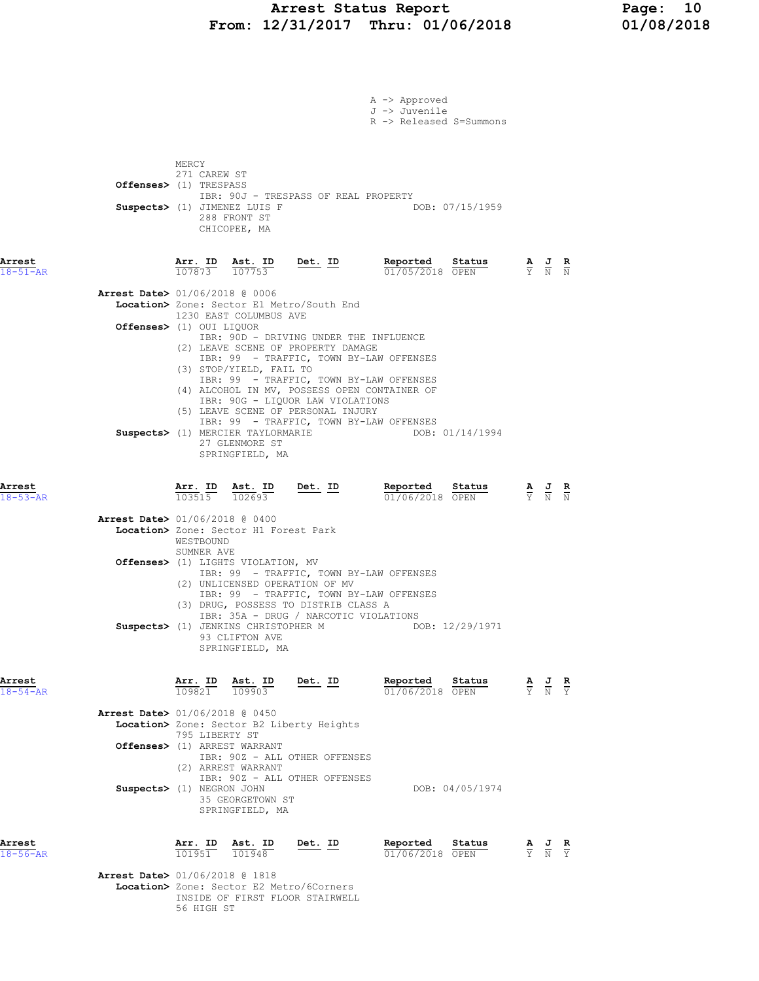# Arrest Status Report Page: 10<br>12/31/2017 Thru: 01/06/2018 01/08/2018 From:  $12/31/2017$  Thru:  $01/06/2018$

|                                                                      |                         |                                                                          |                                                                                                                                                                                                                                                   | A -> Approved<br>J -> Juvenile<br>R -> Released S=Summons |                                                                                                       |  |
|----------------------------------------------------------------------|-------------------------|--------------------------------------------------------------------------|---------------------------------------------------------------------------------------------------------------------------------------------------------------------------------------------------------------------------------------------------|-----------------------------------------------------------|-------------------------------------------------------------------------------------------------------|--|
| Offenses> (1) TRESPASS                                               | MERCY<br>271 CAREW ST   | Suspects> (1) JIMENEZ LUIS F<br>288 FRONT ST<br>CHICOPEE, MA             | IBR: 90J - TRESPASS OF REAL PROPERTY                                                                                                                                                                                                              | DOB: 07/15/1959                                           |                                                                                                       |  |
| Arrest<br>$18 - 51 - AR$                                             | 107873 107753           |                                                                          | Arr. ID Ast. ID Det. ID                                                                                                                                                                                                                           | Reported Status<br>01/05/2018 OPEN                        | $\frac{\mathbf{A}}{\mathbf{Y}}$ $\frac{\mathbf{J}}{\mathbf{N}}$ $\frac{\mathbf{R}}{\mathbf{N}}$       |  |
| <b>Arrest Date&gt;</b> 01/06/2018 @ 0006<br>Offenses> (1) OUI LIQUOR |                         | 1230 EAST COLUMBUS AVE<br>(3) STOP/YIELD, FAIL TO                        | Location> Zone: Sector E1 Metro/South End<br>IBR: 90D - DRIVING UNDER THE INFLUENCE<br>(2) LEAVE SCENE OF PROPERTY DAMAGE<br>IBR: 99 - TRAFFIC, TOWN BY-LAW OFFENSES                                                                              |                                                           |                                                                                                       |  |
|                                                                      |                         | 27 GLENMORE ST<br>SPRINGFIELD, MA                                        | IBR: 99 - TRAFFIC, TOWN BY-LAW OFFENSES<br>(4) ALCOHOL IN MV, POSSESS OPEN CONTAINER OF<br>IBR: 90G - LIQUOR LAW VIOLATIONS<br>(5) LEAVE SCENE OF PERSONAL INJURY<br>IBR: 99 - TRAFFIC, TOWN BY-LAW OFFENSES<br>Suspects> (1) MERCIER TAYLORMARIE | DOB: 01/14/1994                                           |                                                                                                       |  |
| Arrest<br>$18 - 53 - AR$                                             |                         |                                                                          | $\frac{\texttt{Arr.}}{103515}$ $\frac{\texttt{ Ast.}}{102693}$ $\frac{\texttt{Det.}}{202693}$                                                                                                                                                     | Reported Status<br>01/06/2018 OPEN                        | $\frac{\mathbf{A}}{\mathbf{Y}}$ $\frac{\mathbf{J}}{\mathbf{N}}$ $\frac{\mathbf{R}}{\mathbf{N}}$       |  |
| <b>Arrest Date&gt;</b> 01/06/2018 @ 0400                             | WESTBOUND<br>SUMNER AVE | Location> Zone: Sector H1 Forest Park                                    |                                                                                                                                                                                                                                                   |                                                           |                                                                                                       |  |
|                                                                      |                         | <b>Offenses&gt;</b> (1) LIGHTS VIOLATION, MV                             | IBR: 99 - TRAFFIC, TOWN BY-LAW OFFENSES<br>(2) UNLICENSED OPERATION OF MV<br>IBR: 99 - TRAFFIC, TOWN BY-LAW OFFENSES<br>(3) DRUG, POSSESS TO DISTRIB CLASS A                                                                                      |                                                           |                                                                                                       |  |
|                                                                      |                         | Suspects> (1) JENKINS CHRISTOPHER M<br>93 CLIFTON AVE<br>SPRINGFIELD, MA | IBR: 35A - DRUG / NARCOTIC VIOLATIONS                                                                                                                                                                                                             | DOB: 12/29/1971                                           |                                                                                                       |  |
| Arrest<br>$18 - 54 - AR$                                             | Arr. ID<br>109821       | Ast. ID<br>109903                                                        | <u>Det. ID</u>                                                                                                                                                                                                                                    | Reported<br>Status<br>01/06/2018 OPEN                     | $\frac{\mathbf{A}}{\overline{Y}}$ $\frac{\mathbf{J}}{\overline{N}}$ $\frac{\mathbf{R}}{\overline{Y}}$ |  |
| <b>Arrest Date&gt;</b> 01/06/2018 @ 0450                             | 795 LIBERTY ST          |                                                                          | Location> Zone: Sector B2 Liberty Heights                                                                                                                                                                                                         |                                                           |                                                                                                       |  |
| Offenses> (1) ARREST WARRANT                                         |                         | (2) ARREST WARRANT                                                       | IBR: 90Z - ALL OTHER OFFENSES<br>IBR: 90Z - ALL OTHER OFFENSES                                                                                                                                                                                    |                                                           |                                                                                                       |  |
| Suspects> (1) NEGRON JOHN                                            |                         | 35 GEORGETOWN ST<br>SPRINGFIELD, MA                                      |                                                                                                                                                                                                                                                   | DOB: 04/05/1974                                           |                                                                                                       |  |
| Arrest<br>$18 - 56 - AR$                                             | Arr. ID<br>101951       | Ast. ID<br>101948                                                        | Det. ID                                                                                                                                                                                                                                           | Reported<br>Status<br>01/06/2018 OPEN                     | $\frac{\mathbf{A}}{\overline{Y}}$ $\frac{\mathbf{J}}{\overline{N}}$ $\frac{\mathbf{R}}{\overline{Y}}$ |  |
| Arrest Date> 01/06/2018 @ 1818                                       |                         |                                                                          | <b>Location&gt;</b> Zone: Sector E2 Metro/6Corners<br>INSIDE OF FIRST FLOOR STAIRWELL                                                                                                                                                             |                                                           |                                                                                                       |  |

56 HIGH ST